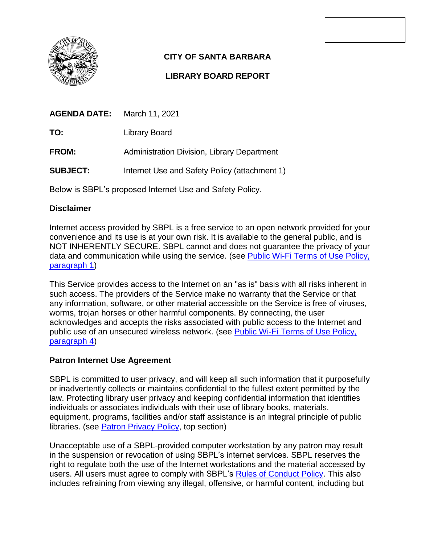

# **CITY OF SANTA BARBARA**

## **LIBRARY BOARD REPORT**

| <b>AGENDA DATE:</b> | March 11, 2021                                |
|---------------------|-----------------------------------------------|
| TO:                 | Library Board                                 |
| <b>FROM:</b>        | Administration Division, Library Department   |
| <b>SUBJECT:</b>     | Internet Use and Safety Policy (attachment 1) |
|                     |                                               |

Below is SBPL's proposed Internet Use and Safety Policy.

### **Disclaimer**

Internet access provided by SBPL is a free service to an open network provided for your convenience and its use is at your own risk. It is available to the general public, and is NOT INHERENTLY SECURE. SBPL cannot and does not guarantee the privacy of your data and communication while using the service. (see [Public Wi-Fi Terms of Use Policy,](https://www.santabarbaraca.gov/documents/Library/Terms%20of%20Use%20for%20Santa%20Barbara%20Public%20Library%20WiFi.pdf)  [paragraph 1\)](https://www.santabarbaraca.gov/documents/Library/Terms%20of%20Use%20for%20Santa%20Barbara%20Public%20Library%20WiFi.pdf)

This Service provides access to the Internet on an "as is" basis with all risks inherent in such access. The providers of the Service make no warranty that the Service or that any information, software, or other material accessible on the Service is free of viruses, worms, trojan horses or other harmful components. By connecting, the user acknowledges and accepts the risks associated with public access to the Internet and public use of an unsecured wireless network. (see [Public Wi-Fi Terms of Use Policy,](https://www.santabarbaraca.gov/documents/Library/Terms%20of%20Use%20for%20Santa%20Barbara%20Public%20Library%20WiFi.pdf)  [paragraph 4\)](https://www.santabarbaraca.gov/documents/Library/Terms%20of%20Use%20for%20Santa%20Barbara%20Public%20Library%20WiFi.pdf)

### **Patron Internet Use Agreement**

SBPL is committed to user privacy, and will keep all such information that it purposefully or inadvertently collects or maintains confidential to the fullest extent permitted by the law. Protecting library user privacy and keeping confidential information that identifies individuals or associates individuals with their use of library books, materials, equipment, programs, facilities and/or staff assistance is an integral principle of public libraries. (see [Patron Privacy Policy,](https://www.santabarbaraca.gov/documents/Library/SBPL%20Patron%20Privacy%20Policy%20-%202020.pdf) top section)

Unacceptable use of a SBPL-provided computer workstation by any patron may result in the suspension or revocation of using SBPL's internet services. SBPL reserves the right to regulate both the use of the Internet workstations and the material accessed by users. All users must agree to comply with SBPL's [Rules of Conduct Policy.](https://www.santabarbaraca.gov/documents/Library/Library%20rules%20of%20conduct_8.5x11%20-%20EN.pdf) This also includes refraining from viewing any illegal, offensive, or harmful content, including but